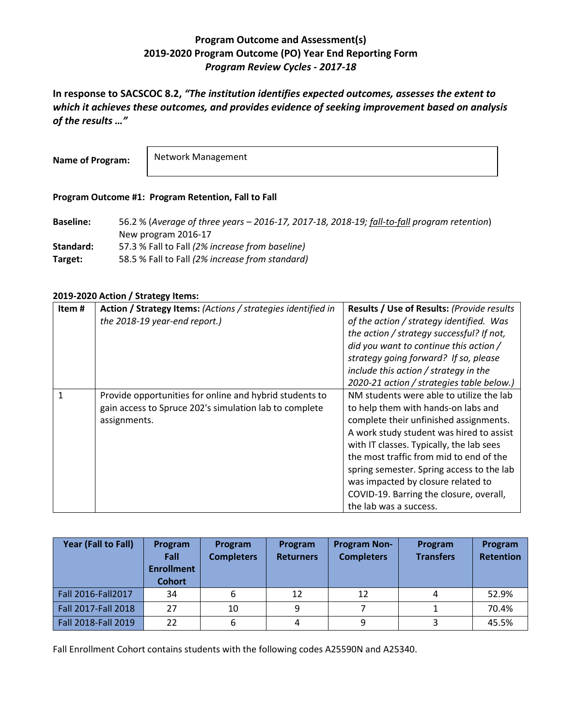## **Program Outcome and Assessment(s) 2019-2020 Program Outcome (PO) Year End Reporting Form** *Program Review Cycles - 2017-18*

**In response to SACSCOC 8.2,** *"The institution identifies expected outcomes, assesses the extent to which it achieves these outcomes, and provides evidence of seeking improvement based on analysis of the results …"*

**Name of Program:**

Network Management

## **Program Outcome #1: Program Retention, Fall to Fall**

**Baseline:** 56.2 % (*Average of three years – 2016-17, 2017-18, 2018-19; fall-to-fall program retention*) New program 2016-17 **Standard:** 57.3 % Fall to Fall *(2% increase from baseline)* **Target:** 58.5 % Fall to Fall *(2% increase from standard)*

## **2019-2020 Action / Strategy Items:**

| Item# | Action / Strategy Items: (Actions / strategies identified in<br>the 2018-19 year-end report.)                                     | Results / Use of Results: (Provide results<br>of the action / strategy identified. Was<br>the action / strategy successful? If not,<br>did you want to continue this action /<br>strategy going forward? If so, please<br>include this action / strategy in the<br>2020-21 action / strategies table below.)                                                                                                         |
|-------|-----------------------------------------------------------------------------------------------------------------------------------|----------------------------------------------------------------------------------------------------------------------------------------------------------------------------------------------------------------------------------------------------------------------------------------------------------------------------------------------------------------------------------------------------------------------|
| 1     | Provide opportunities for online and hybrid students to<br>gain access to Spruce 202's simulation lab to complete<br>assignments. | NM students were able to utilize the lab<br>to help them with hands-on labs and<br>complete their unfinished assignments.<br>A work study student was hired to assist<br>with IT classes. Typically, the lab sees<br>the most traffic from mid to end of the<br>spring semester. Spring access to the lab<br>was impacted by closure related to<br>COVID-19. Barring the closure, overall,<br>the lab was a success. |

| Year (Fall to Fall) | Program<br>Fall<br><b>Enrollment</b><br><b>Cohort</b> | Program<br><b>Completers</b> | Program<br><b>Returners</b> | <b>Program Non-</b><br><b>Completers</b> | Program<br><b>Transfers</b> | Program<br><b>Retention</b> |
|---------------------|-------------------------------------------------------|------------------------------|-----------------------------|------------------------------------------|-----------------------------|-----------------------------|
| Fall 2016-Fall 2017 | 34                                                    | 6                            | 12                          | 12                                       |                             | 52.9%                       |
| Fall 2017-Fall 2018 | 27                                                    | 10                           | 9                           |                                          |                             | 70.4%                       |
| Fall 2018-Fall 2019 | 22                                                    | 6                            |                             | 9                                        |                             | 45.5%                       |

Fall Enrollment Cohort contains students with the following codes A25590N and A25340.